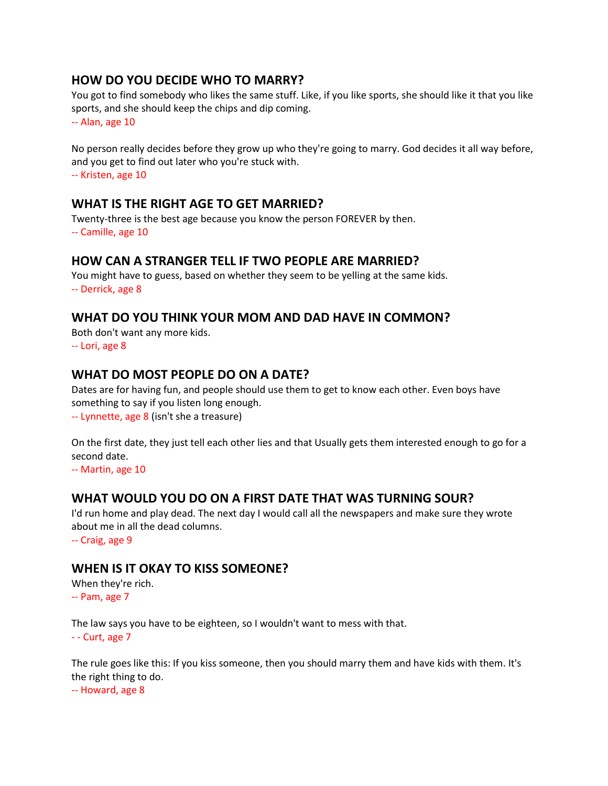## **HOW DO YOU DECIDE WHO TO MARRY?**

You got to find somebody who likes the same stuff. Like, if you like sports, she should like it that you like sports, and she should keep the chips and dip coming.

-- Alan, age 10

No person really decides before they grow up who they're going to marry. God decides it all way before, and you get to find out later who you're stuck with.

-- Kristen, age 10

## **WHAT IS THE RIGHT AGE TO GET MARRIED?**

Twenty-three is the best age because you know the person FOREVER by then. -- Camille, age 10

## **HOW CAN A STRANGER TELL IF TWO PEOPLE ARE MARRIED?**

You might have to guess, based on whether they seem to be yelling at the same kids. -- Derrick, age 8

## **WHAT DO YOU THINK YOUR MOM AND DAD HAVE IN COMMON?**

Both don't want any more kids. -- Lori, age 8

## **WHAT DO MOST PEOPLE DO ON A DATE?**

Dates are for having fun, and people should use them to get to know each other. Even boys have something to say if you listen long enough.

-- Lynnette, age 8 (isn't she a treasure)

On the first date, they just tell each other lies and that Usually gets them interested enough to go for a second date.

-- Martin, age 10

## **WHAT WOULD YOU DO ON A FIRST DATE THAT WAS TURNING SOUR?**

I'd run home and play dead. The next day I would call all the newspapers and make sure they wrote about me in all the dead columns.

-- Craig, age 9

## **WHEN IS IT OKAY TO KISS SOMEONE?**

When they're rich. -- Pam, age 7

The law says you have to be eighteen, so I wouldn't want to mess with that.

 $-$  Curt, age  $7$ 

The rule goes like this: If you kiss someone, then you should marry them and have kids with them. It's the right thing to do.

-- Howard, age 8